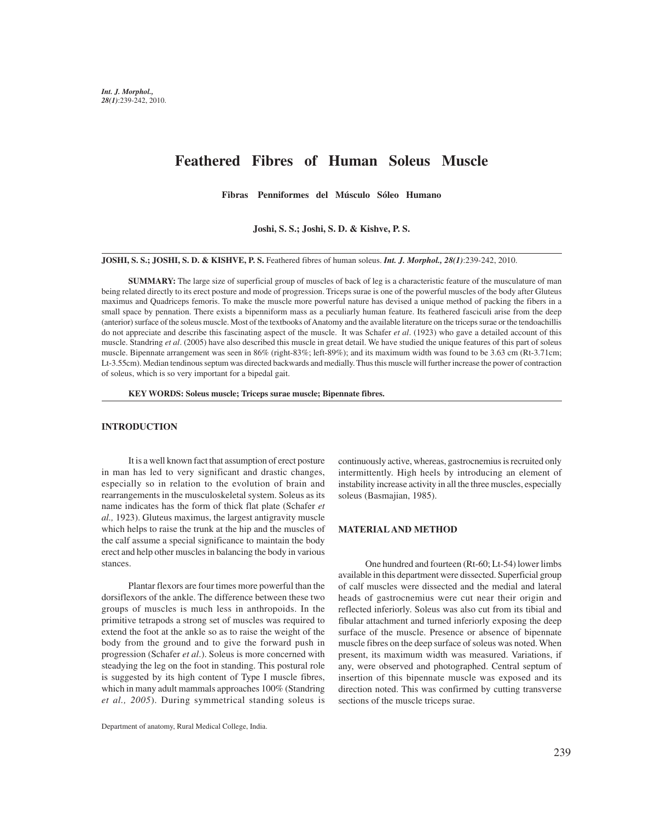# **Feathered Fibres of Human Soleus Muscle**

**Fibras Penniformes del Músculo Sóleo Humano**

**Joshi, S. S.; Joshi, S. D. & Kishve, P. S.**

**JOSHI, S. S.; JOSHI, S. D. & KISHVE, P. S.** Feathered fibres of human soleus. *Int. J. Morphol., 28(1)*:239-242, 2010.

**SUMMARY:** The large size of superficial group of muscles of back of leg is a characteristic feature of the musculature of man being related directly to its erect posture and mode of progression. Triceps surae is one of the powerful muscles of the body after Gluteus maximus and Quadriceps femoris. To make the muscle more powerful nature has devised a unique method of packing the fibers in a small space by pennation. There exists a bipenniform mass as a peculiarly human feature. Its feathered fasciculi arise from the deep (anterior) surface of the soleus muscle. Most of the textbooks of Anatomy and the available literature on the triceps surae or the tendoachillis do not appreciate and describe this fascinating aspect of the muscle. It was Schafer *et al*. (1923) who gave a detailed account of this muscle. Standring *et al*. (2005) have also described this muscle in great detail. We have studied the unique features of this part of soleus muscle. Bipennate arrangement was seen in 86% (right-83%; left-89%); and its maximum width was found to be 3.63 cm (Rt-3.71cm; Lt-3.55cm). Median tendinous septum was directed backwards and medially. Thus this muscle will further increase the power of contraction of soleus, which is so very important for a bipedal gait.

**KEY WORDS: Soleus muscle; Triceps surae muscle; Bipennate fibres.**

#### **INTRODUCTION**

It is a well known fact that assumption of erect posture in man has led to very significant and drastic changes, especially so in relation to the evolution of brain and rearrangements in the musculoskeletal system. Soleus as its name indicates has the form of thick flat plate (Schafer *et al.,* 1923). Gluteus maximus, the largest antigravity muscle which helps to raise the trunk at the hip and the muscles of the calf assume a special significance to maintain the body erect and help other muscles in balancing the body in various stances.

Plantar flexors are four times more powerful than the dorsiflexors of the ankle. The difference between these two groups of muscles is much less in anthropoids. In the primitive tetrapods a strong set of muscles was required to extend the foot at the ankle so as to raise the weight of the body from the ground and to give the forward push in progression (Schafer *et al*.). Soleus is more concerned with steadying the leg on the foot in standing. This postural role is suggested by its high content of Type I muscle fibres, which in many adult mammals approaches 100% (Standring *et al., 2005*). During symmetrical standing soleus is

continuously active, whereas, gastrocnemius is recruited only intermittently. High heels by introducing an element of instability increase activity in all the three muscles, especially soleus (Basmajian, 1985).

### **MATERIAL AND METHOD**

One hundred and fourteen (Rt-60; Lt-54) lower limbs available in this department were dissected. Superficial group of calf muscles were dissected and the medial and lateral heads of gastrocnemius were cut near their origin and reflected inferiorly. Soleus was also cut from its tibial and fibular attachment and turned inferiorly exposing the deep surface of the muscle. Presence or absence of bipennate muscle fibres on the deep surface of soleus was noted. When present, its maximum width was measured. Variations, if any, were observed and photographed. Central septum of insertion of this bipennate muscle was exposed and its direction noted. This was confirmed by cutting transverse sections of the muscle triceps surae.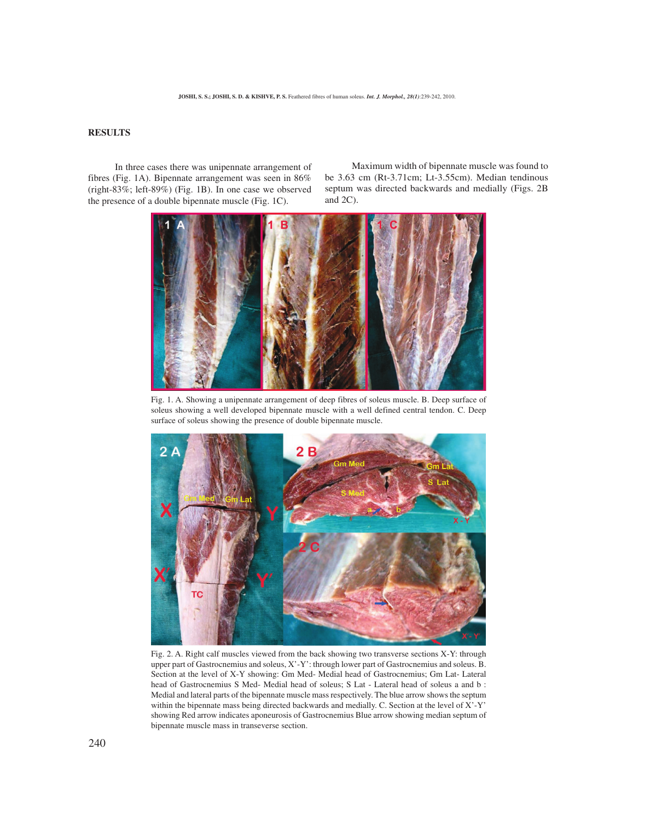# **RESULTS**

In three cases there was unipennate arrangement of fibres (Fig. 1A). Bipennate arrangement was seen in 86% (right-83%; left-89%) (Fig. 1B). In one case we observed the presence of a double bipennate muscle (Fig. 1C).

Maximum width of bipennate muscle was found to be 3.63 cm (Rt-3.71cm; Lt-3.55cm). Median tendinous septum was directed backwards and medially (Figs. 2B and 2C).



Fig. 1. A. Showing a unipennate arrangement of deep fibres of soleus muscle. B. Deep surface of soleus showing a well developed bipennate muscle with a well defined central tendon. C. Deep surface of soleus showing the presence of double bipennate muscle.



Fig. 2. A. Right calf muscles viewed from the back showing two transverse sections X-Y: through upper part of Gastrocnemius and soleus, X'-Y': through lower part of Gastrocnemius and soleus. B. Section at the level of X-Y showing: Gm Med- Medial head of Gastrocnemius; Gm Lat- Lateral head of Gastrocnemius S Med- Medial head of soleus; S Lat - Lateral head of soleus a and b : Medial and lateral parts of the bipennate muscle mass respectively. The blue arrow shows the septum within the bipennate mass being directed backwards and medially. C. Section at the level of X'-Y' showing Red arrow indicates aponeurosis of Gastrocnemius Blue arrow showing median septum of bipennate muscle mass in transeverse section.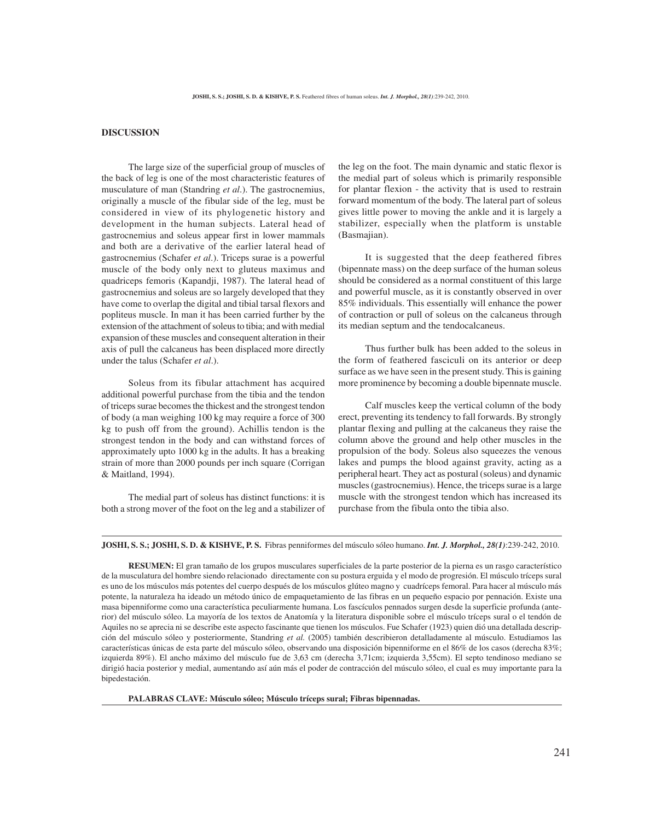# **DISCUSSION**

The large size of the superficial group of muscles of the back of leg is one of the most characteristic features of musculature of man (Standring *et al*.). The gastrocnemius, originally a muscle of the fibular side of the leg, must be considered in view of its phylogenetic history and development in the human subjects. Lateral head of gastrocnemius and soleus appear first in lower mammals and both are a derivative of the earlier lateral head of gastrocnemius (Schafer *et al*.). Triceps surae is a powerful muscle of the body only next to gluteus maximus and quadriceps femoris (Kapandji, 1987). The lateral head of gastrocnemius and soleus are so largely developed that they have come to overlap the digital and tibial tarsal flexors and popliteus muscle. In man it has been carried further by the extension of the attachment of soleus to tibia; and with medial expansion of these muscles and consequent alteration in their axis of pull the calcaneus has been displaced more directly under the talus (Schafer *et al*.).

Soleus from its fibular attachment has acquired additional powerful purchase from the tibia and the tendon of triceps surae becomes the thickest and the strongest tendon of body (a man weighing 100 kg may require a force of 300 kg to push off from the ground). Achillis tendon is the strongest tendon in the body and can withstand forces of approximately upto 1000 kg in the adults. It has a breaking strain of more than 2000 pounds per inch square (Corrigan & Maitland, 1994).

The medial part of soleus has distinct functions: it is both a strong mover of the foot on the leg and a stabilizer of

the leg on the foot. The main dynamic and static flexor is the medial part of soleus which is primarily responsible for plantar flexion - the activity that is used to restrain forward momentum of the body. The lateral part of soleus gives little power to moving the ankle and it is largely a stabilizer, especially when the platform is unstable (Basmajian).

It is suggested that the deep feathered fibres (bipennate mass) on the deep surface of the human soleus should be considered as a normal constituent of this large and powerful muscle, as it is constantly observed in over 85% individuals. This essentially will enhance the power of contraction or pull of soleus on the calcaneus through its median septum and the tendocalcaneus.

Thus further bulk has been added to the soleus in the form of feathered fasciculi on its anterior or deep surface as we have seen in the present study. This is gaining more prominence by becoming a double bipennate muscle.

Calf muscles keep the vertical column of the body erect, preventing its tendency to fall forwards. By strongly plantar flexing and pulling at the calcaneus they raise the column above the ground and help other muscles in the propulsion of the body. Soleus also squeezes the venous lakes and pumps the blood against gravity, acting as a peripheral heart. They act as postural (soleus) and dynamic muscles (gastrocnemius). Hence, the triceps surae is a large muscle with the strongest tendon which has increased its purchase from the fibula onto the tibia also.

**JOSHI, S. S.; JOSHI, S. D. & KISHVE, P. S.** Fibras penniformes del músculo sóleo humano. *Int. J. Morphol., 28(1)*:239-242, 2010.

**RESUMEN:** El gran tamaño de los grupos musculares superficiales de la parte posterior de la pierna es un rasgo característico de la musculatura del hombre siendo relacionado directamente con su postura erguida y el modo de progresión. El músculo tríceps sural es uno de los músculos más potentes del cuerpo después de los músculos glúteo magno y cuadríceps femoral. Para hacer al músculo más potente, la naturaleza ha ideado un método único de empaquetamiento de las fibras en un pequeño espacio por pennación. Existe una masa bipenniforme como una característica peculiarmente humana. Los fascículos pennados surgen desde la superficie profunda (anterior) del músculo sóleo. La mayoría de los textos de Anatomía y la literatura disponible sobre el músculo tríceps sural o el tendón de Aquiles no se aprecia ni se describe este aspecto fascinante que tienen los músculos. Fue Schafer (1923) quien dió una detallada descripción del músculo sóleo y posteriormente, Standring *et al.* (2005) también describieron detalladamente al músculo. Estudiamos las características únicas de esta parte del músculo sóleo, observando una disposición bipenniforme en el 86% de los casos (derecha 83%; izquierda 89%). El ancho máximo del músculo fue de 3,63 cm (derecha 3,71cm; izquierda 3,55cm). El septo tendinoso mediano se dirigió hacia posterior y medial, aumentando así aún más el poder de contracción del músculo sóleo, el cual es muy importante para la bipedestación.

**PALABRAS CLAVE: Músculo sóleo; Músculo tríceps sural; Fibras bipennadas.**